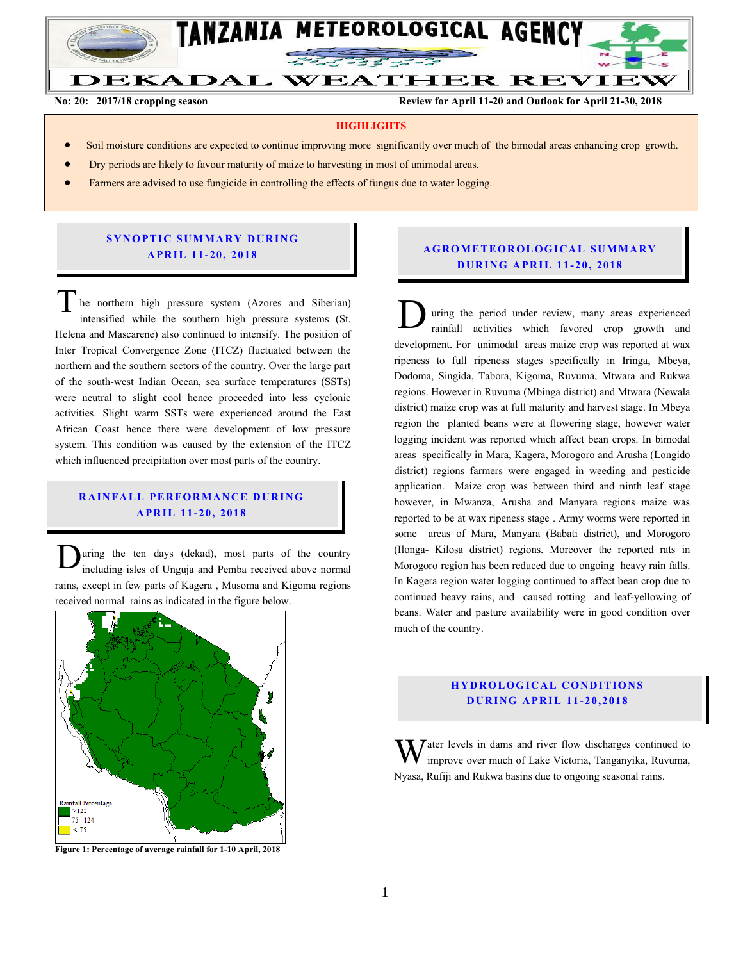

**No: 20: 2017/18 cropping season Review for April 11-20 and Outlook for April 21-30, 2018**

#### **HIGHLIGHTS**

- Soil moisture conditions are expected to continue improving more significantly over much of the bimodal areas enhancing crop growth.
- Dry periods are likely to favour maturity of maize to harvesting in most of unimodal areas.
- Farmers are advised to use fungicide in controlling the effects of fungus due to water logging.

#### **SYNOPTIC SUMMARY DURING A PR IL 11- 20, 201 8**

he northern high pressure system (Azores and Siberian) intensified while the southern high pressure systems (St. Helena and Mascarene) also continued to intensify. The position of Inter Tropical Convergence Zone (ITCZ) fluctuated between the northern and the southern sectors of the country. Over the large part of the south-west Indian Ocean, sea surface temperatures (SSTs) were neutral to slight cool hence proceeded into less cyclonic activities. Slight warm SSTs were experienced around the East African Coast hence there were development of low pressure system. This condition was caused by the extension of the ITCZ which influenced precipitation over most parts of the country. The northern high pressure system (Azores and Siberian)<br>intensified while the southern high pressure systems (St.<br>Helena and Mascarene) also continued to intensify. The position of

# **RAINFALL PERFORMANCE DURING A PR IL 11- 20, 201 8**

uring the ten days (dekad), most parts of the country including isles of Unguja and Pemba received above normal rains, except in few parts of Kagera , Musoma and Kigoma regions received normal rains as indicated in the figure below. D



**Figure 1: Percentage of average rainfall for 1-10 April, 2018**

## **A G RO METEO R O LOG ICA L SU MMA RY D UR ING A PR IL 1 1- 20, 2018**

uring the period under review, many areas experienced rainfall activities which favored crop growth and development. For unimodal areas maize crop was reported at wax ripeness to full ripeness stages specifically in Iringa, Mbeya, Dodoma, Singida, Tabora, Kigoma, Ruvuma, Mtwara and Rukwa regions. However in Ruvuma (Mbinga district) and Mtwara (Newala district) maize crop was at full maturity and harvest stage. In Mbeya region the planted beans were at flowering stage, however water logging incident was reported which affect bean crops. In bimodal areas specifically in Mara, Kagera, Morogoro and Arusha (Longido district) regions farmers were engaged in weeding and pesticide application. Maize crop was between third and ninth leaf stage however, in Mwanza, Arusha and Manyara regions maize was reported to be at wax ripeness stage . Army worms were reported in some areas of Mara, Manyara (Babati district), and Morogoro (Ilonga- Kilosa district) regions. Moreover the reported rats in Morogoro region has been reduced due to ongoing heavy rain falls. In Kagera region water logging continued to affect bean crop due to continued heavy rains, and caused rotting and leaf-yellowing of beans. Water and pasture availability were in good condition over much of the country.

#### **HYDROLOGICAL CONDITIONS D UR ING A PR IL 11- 20, 2018**

 $\bar{J}$  ater levels in dams and river flow discharges continued to improve over much of Lake Victoria, Tanganyika, Ruvuma, Nyasa, Rufiji and Rukwa basins due to ongoing seasonal rains. W